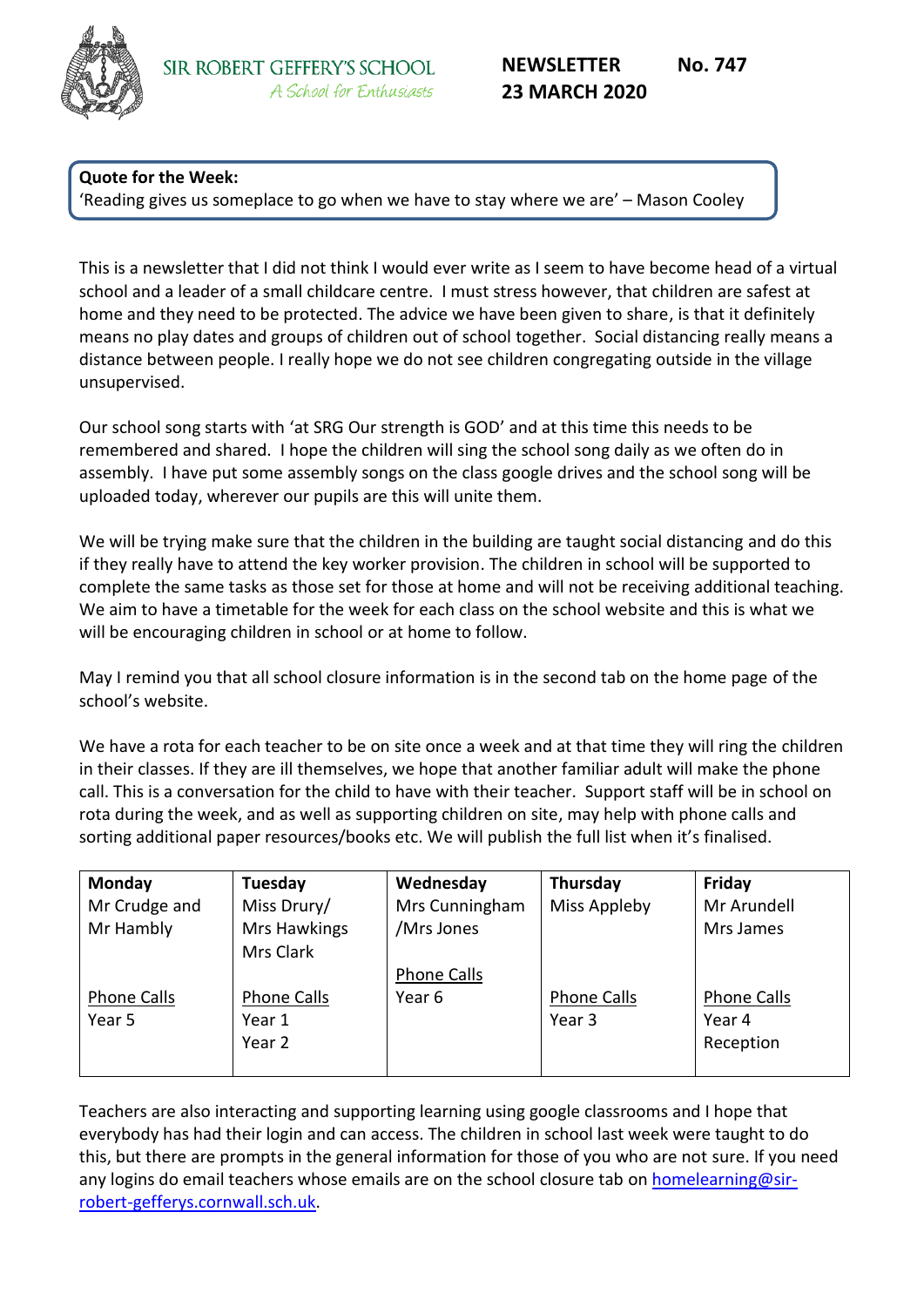

## **Quote for the Week:**

'Reading gives us someplace to go when we have to stay where we are' – Mason Cooley

This is a newsletter that I did not think I would ever write as I seem to have become head of a virtual school and a leader of a small childcare centre. I must stress however, that children are safest at home and they need to be protected. The advice we have been given to share, is that it definitely means no play dates and groups of children out of school together. Social distancing really means a distance between people. I really hope we do not see children congregating outside in the village unsupervised.

Our school song starts with 'at SRG Our strength is GOD' and at this time this needs to be remembered and shared. I hope the children will sing the school song daily as we often do in assembly. I have put some assembly songs on the class google drives and the school song will be uploaded today, wherever our pupils are this will unite them.

We will be trying make sure that the children in the building are taught social distancing and do this if they really have to attend the key worker provision. The children in school will be supported to complete the same tasks as those set for those at home and will not be receiving additional teaching. We aim to have a timetable for the week for each class on the school website and this is what we will be encouraging children in school or at home to follow.

May I remind you that all school closure information is in the second tab on the home page of the school's website.

We have a rota for each teacher to be on site once a week and at that time they will ring the children in their classes. If they are ill themselves, we hope that another familiar adult will make the phone call. This is a conversation for the child to have with their teacher. Support staff will be in school on rota during the week, and as well as supporting children on site, may help with phone calls and sorting additional paper resources/books etc. We will publish the full list when it's finalised.

| Monday        | Tuesday            | Wednesday          | Thursday     | Friday             |
|---------------|--------------------|--------------------|--------------|--------------------|
| Mr Crudge and | Miss Drury/        | Mrs Cunningham     | Miss Appleby | Mr Arundell        |
| Mr Hambly     | Mrs Hawkings       | /Mrs Jones         |              | Mrs James          |
|               | Mrs Clark          |                    |              |                    |
|               |                    | <b>Phone Calls</b> |              |                    |
| Phone Calls   | <b>Phone Calls</b> | Year 6             | Phone Calls  | <b>Phone Calls</b> |
| Year 5        | Year 1             |                    | Year 3       | Year 4             |
|               | Year 2             |                    |              | Reception          |
|               |                    |                    |              |                    |

Teachers are also interacting and supporting learning using google classrooms and I hope that everybody has had their login and can access. The children in school last week were taught to do this, but there are prompts in the general information for those of you who are not sure. If you need any logins do email teachers whose emails are on the school closure tab on [homelearning@sir](mailto:homelearning@sir-robert-gefferys.cornwall.sch.uk)[robert-gefferys.cornwall.sch.uk.](mailto:homelearning@sir-robert-gefferys.cornwall.sch.uk)